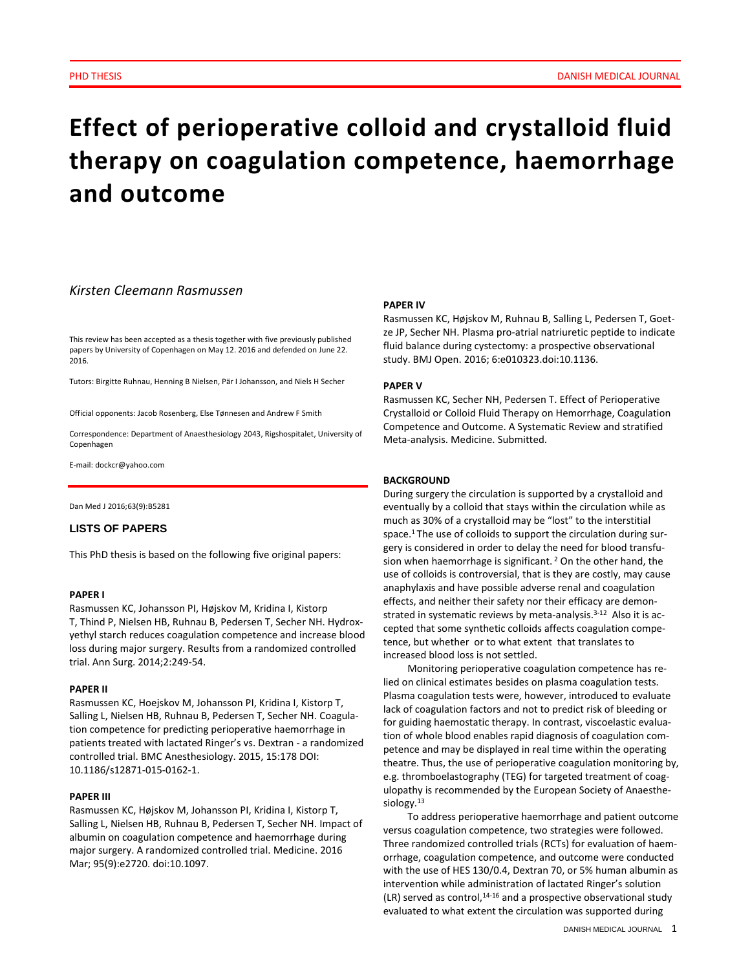# **Effect of perioperative colloid and crystalloid fluid therapy on coagulation competence, haemorrhage and outcome**

# *Kirsten Cleemann Rasmussen*

This review has been accepted as a thesis together with five previously published papers by University of Copenhagen on May 12. 2016 and defended on June 22. 2016.

Tutors: Birgitte Ruhnau, Henning B Nielsen, Pär I Johansson, and Niels H Secher

Official opponents: Jacob Rosenberg, Else Tønnesen and Andrew F Smith

Correspondence: Department of Anaesthesiology 2043, Rigshospitalet, University of Copenhagen

E-mail: dockcr@yahoo.com

Dan Med J 2016;63(9):B5281

# **LISTS OF PAPERS**

This PhD thesis is based on the following five original papers:

## **PAPER I**

[Rasmussen KC,](http://www.ncbi.nlm.nih.gov/pubmed/?term=Rasmussen%20KC%5BAuthor%5D&cauthor=true&cauthor_uid=24100337) [Johansson PI,](http://www.ncbi.nlm.nih.gov/pubmed/?term=Johansson%20PI%5BAuthor%5D&cauthor=true&cauthor_uid=24100337) [Højskov M,](http://www.ncbi.nlm.nih.gov/pubmed/?term=H%C3%B8jskov%20M%5BAuthor%5D&cauthor=true&cauthor_uid=24100337) [Kridina I,](http://www.ncbi.nlm.nih.gov/pubmed/?term=Kridina%20I%5BAuthor%5D&cauthor=true&cauthor_uid=24100337) [Kistorp](http://www.ncbi.nlm.nih.gov/pubmed/?term=Kistorp%20T%5BAuthor%5D&cauthor=true&cauthor_uid=24100337)  [T,](http://www.ncbi.nlm.nih.gov/pubmed/?term=Kistorp%20T%5BAuthor%5D&cauthor=true&cauthor_uid=24100337) [Thind P,](http://www.ncbi.nlm.nih.gov/pubmed/?term=Thind%20P%5BAuthor%5D&cauthor=true&cauthor_uid=24100337) [Nielsen HB,](http://www.ncbi.nlm.nih.gov/pubmed/?term=Nielsen%20HB%5BAuthor%5D&cauthor=true&cauthor_uid=24100337) [Ruhnau B,](http://www.ncbi.nlm.nih.gov/pubmed/?term=Ruhnau%20B%5BAuthor%5D&cauthor=true&cauthor_uid=24100337) [Pedersen T,](http://www.ncbi.nlm.nih.gov/pubmed/?term=Pedersen%20T%5BAuthor%5D&cauthor=true&cauthor_uid=24100337) [Secher NH.](http://www.ncbi.nlm.nih.gov/pubmed/?term=Secher%20NH%5BAuthor%5D&cauthor=true&cauthor_uid=24100337) Hydroxyethyl starch reduces coagulation competence and increase blood loss during major surgery. Results from a randomized controlled trial. Ann Surg. 2014;2:249-54.

#### **PAPER II**

Rasmussen KC, Hoejskov M, Johansson PI, Kridina I, Kistorp T, Salling L, Nielsen HB, Ruhnau B, Pedersen T, Secher NH. Coagulation competence for predicting perioperative haemorrhage in patients treated with lactated Ringer's vs. Dextran - a randomized controlled trial. BMC Anesthesiology. 2015, 15:178 DOI: 10.1186/s12871-015-0162-1.

## **PAPER III**

Rasmussen KC, Højskov M, Johansson PI, Kridina I, Kistorp T, Salling L, Nielsen HB, Ruhnau B, Pedersen T, Secher NH. Impact of albumin on coagulation competence and haemorrhage during major surgery. A randomized controlled trial. Medicine. 2016 Mar; 95(9):e2720. doi:10.1097.

## **PAPER IV**

Rasmussen KC, Højskov M, Ruhnau B, Salling L, Pedersen T, Goetze JP, Secher NH. Plasma pro-atrial natriuretic peptide to indicate fluid balance during cystectomy: a prospective observational study. BMJ Open. 2016; 6:e010323.doi:10.1136.

#### **PAPER V**

Rasmussen KC, Secher NH, Pedersen T. Effect of Perioperative Crystalloid or Colloid Fluid Therapy on Hemorrhage, Coagulation Competence and Outcome. A Systematic Review and stratified Meta-analysis. Medicine. Submitted.

#### **BACKGROUND**

During surgery the circulation is supported by a crystalloid and eventually by a colloid that stays within the circulation while as much as 30% of a crystalloid may be "lost" to the interstitial space.1 The use of colloids to support the circulation during surgery is considered in order to delay the need for blood transfusion when haemorrhage is significant.<sup>2</sup> On the other hand, the use of colloids is controversial, that is they are costly, may cause anaphylaxis and have possible adverse renal and coagulation effects, and neither their safety nor their efficacy are demonstrated in systematic reviews by meta-analysis.<sup>3-12</sup> Also it is accepted that some synthetic colloids affects coagulation competence, but whether or to what extent that translates to increased blood loss is not settled.

Monitoring perioperative coagulation competence has relied on clinical estimates besides on plasma coagulation tests. Plasma coagulation tests were, however, introduced to evaluate lack of coagulation factors and not to predict risk of bleeding or for guiding haemostatic therapy. In contrast, viscoelastic evaluation of whole blood enables rapid diagnosis of coagulation competence and may be displayed in real time within the operating theatre. Thus, the use of perioperative coagulation monitoring by, e.g. thromboelastography (TEG) for targeted treatment of coagulopathy is recommended by the European Society of Anaesthesiology.<sup>13</sup>

To address perioperative haemorrhage and patient outcome versus coagulation competence, two strategies were followed. Three randomized controlled trials (RCTs) for evaluation of haemorrhage, coagulation competence, and outcome were conducted with the use of HES 130/0.4, Dextran 70, or 5% human albumin as intervention while administration of lactated Ringer's solution  $(LR)$  served as control,<sup>14-16</sup> and a prospective observational study evaluated to what extent the circulation was supported during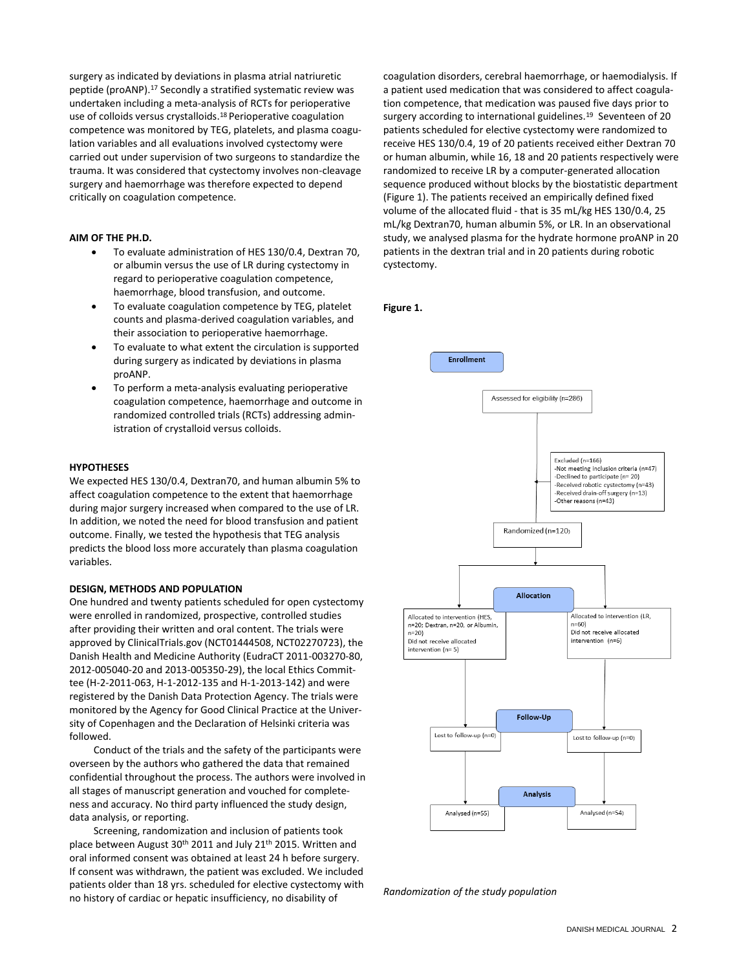surgery as indicated by deviations in plasma atrial natriuretic peptide (proANP).<sup>17</sup> Secondly a stratified systematic review was undertaken including a meta-analysis of RCTs for perioperative use of colloids versus crystalloids.<sup>18</sup> Perioperative coagulation competence was monitored by TEG, platelets, and plasma coagulation variables and all evaluations involved cystectomy were carried out under supervision of two surgeons to standardize the trauma. It was considered that cystectomy involves non-cleavage surgery and haemorrhage was therefore expected to depend critically on coagulation competence.

# **AIM OF THE PH.D.**

- To evaluate administration of HES 130/0.4, Dextran 70, or albumin versus the use of LR during cystectomy in regard to perioperative coagulation competence, haemorrhage, blood transfusion, and outcome.
- To evaluate coagulation competence by TEG, platelet counts and plasma-derived coagulation variables, and their association to perioperative haemorrhage.
- To evaluate to what extent the circulation is supported during surgery as indicated by deviations in plasma proANP.
- To perform a meta-analysis evaluating perioperative coagulation competence, haemorrhage and outcome in randomized controlled trials (RCTs) addressing administration of crystalloid versus colloids.

## **HYPOTHESES**

We expected HES 130/0.4, Dextran70, and human albumin 5% to affect coagulation competence to the extent that haemorrhage during major surgery increased when compared to the use of LR. In addition, we noted the need for blood transfusion and patient outcome. Finally, we tested the hypothesis that TEG analysis predicts the blood loss more accurately than plasma coagulation variables.

## **DESIGN, METHODS AND POPULATION**

One hundred and twenty patients scheduled for open cystectomy were enrolled in randomized, prospective, controlled studies after providing their written and oral content. The trials were approved by ClinicalTrials.gov (NCT01444508, NCT02270723), the Danish Health and Medicine Authority (EudraCT 2011-003270-80, 2012-005040-20 and 2013-005350-29), the local Ethics Committee (H-2-2011-063, H-1-2012-135 and H-1-2013-142) and were registered by the Danish Data Protection Agency. The trials were monitored by the Agency for Good Clinical Practice at the University of Copenhagen and the Declaration of Helsinki criteria was followed.

Conduct of the trials and the safety of the participants were overseen by the authors who gathered the data that remained confidential throughout the process. The authors were involved in all stages of manuscript generation and vouched for completeness and accuracy. No third party influenced the study design, data analysis, or reporting.

Screening, randomization and inclusion of patients took place between August 30th 2011 and July 21th 2015. Written and oral informed consent was obtained at least 24 h before surgery. If consent was withdrawn, the patient was excluded. We included patients older than 18 yrs. scheduled for elective cystectomy with no history of cardiac or hepatic insufficiency, no disability of

coagulation disorders, cerebral haemorrhage, or haemodialysis. If a patient used medication that was considered to affect coagulation competence, that medication was paused five days prior to surgery according to international guidelines.<sup>19</sup> Seventeen of 20 patients scheduled for elective cystectomy were randomized to receive HES 130/0.4, 19 of 20 patients received either Dextran 70 or human albumin, while 16, 18 and 20 patients respectively were randomized to receive LR by a computer-generated allocation sequence produced without blocks by the biostatistic department (Figure 1). The patients received an empirically defined fixed volume of the allocated fluid - that is 35 mL/kg HES 130/0.4, 25 mL/kg Dextran70, human albumin 5%, or LR. In an observational study, we analysed plasma for the hydrate hormone proANP in 20 patients in the dextran trial and in 20 patients during robotic cystectomy.

# **Figure 1.**



*Randomization of the study population*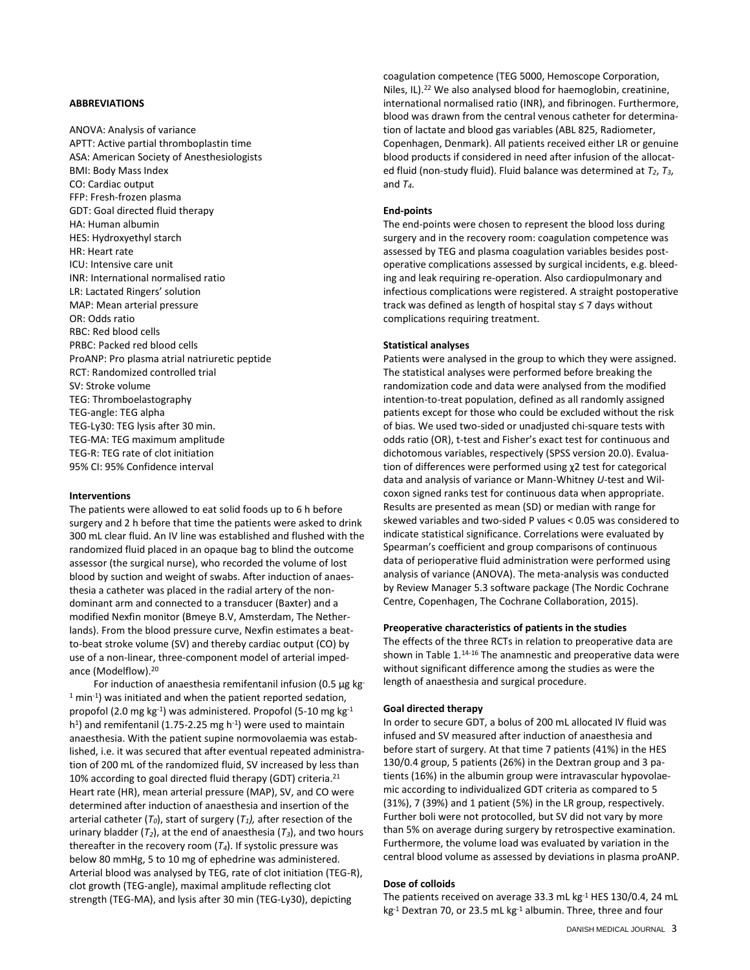## **ABBREVIATIONS**

ANOVA: Analysis of variance APTT: Active partial thromboplastin time ASA: American Society of Anesthesiologists BMI: Body Mass Index CO: Cardiac output FFP: Fresh-frozen plasma GDT: Goal directed fluid therapy HA: Human albumin HES: Hydroxyethyl starch HR: Heart rate ICU: Intensive care unit INR: International normalised ratio LR: Lactated Ringers' solution MAP: Mean arterial pressure OR: Odds ratio RBC: Red blood cells PRBC: Packed red blood cells ProANP: Pro plasma atrial natriuretic peptide RCT: Randomized controlled trial SV: Stroke volume TEG: Thromboelastography TEG-angle: TEG alpha TEG-Ly30: TEG lysis after 30 min. TEG-MA: TEG maximum amplitude TEG-R: TEG rate of clot initiation 95% CI: 95% Confidence interval

## **Interventions**

The patients were allowed to eat solid foods up to 6 h before surgery and 2 h before that time the patients were asked to drink 300 mL clear fluid. An IV line was established and flushed with the randomized fluid placed in an opaque bag to blind the outcome assessor (the surgical nurse), who recorded the volume of lost blood by suction and weight of swabs. After induction of anaesthesia a catheter was placed in the radial artery of the nondominant arm and connected to a transducer (Baxter) and a modified Nexfin monitor (Bmeye B.V, Amsterdam, The Netherlands). From the blood pressure curve, Nexfin estimates a beatto-beat stroke volume (SV) and thereby cardiac output (CO) by use of a non-linear, three-component model of arterial impedance (Modelflow).<sup>20</sup>

For induction of anaesthesia remifentanil infusion (0.5 µg kg-<sup>1</sup> min<sup>-1</sup>) was initiated and when the patient reported sedation, propofol (2.0 mg kg $^{-1}$ ) was administered. Propofol (5-10 mg kg $^{-1}$ h<sup>1</sup>) and remifentanil (1.75-2.25 mg h<sup>-1</sup>) were used to maintain anaesthesia. With the patient supine normovolaemia was established, i.e. it was secured that after eventual repeated administration of 200 mL of the randomized fluid, SV increased by less than 10% according to goal directed fluid therapy (GDT) criteria.<sup>21</sup> Heart rate (HR), mean arterial pressure (MAP), SV, and CO were determined after induction of anaesthesia and insertion of the arterial catheter (*T0*), start of surgery (*T1),* after resection of the urinary bladder  $(T_2)$ , at the end of anaesthesia  $(T_3)$ , and two hours thereafter in the recovery room  $(T_4)$ . If systolic pressure was below 80 mmHg, 5 to 10 mg of ephedrine was administered. Arterial blood was analysed by TEG, rate of clot initiation (TEG-R), clot growth (TEG-angle), maximal amplitude reflecting clot strength (TEG-MA), and lysis after 30 min (TEG-Ly30), depicting

coagulation competence (TEG 5000, Hemoscope Corporation, Niles, IL).<sup>22</sup> We also analysed blood for haemoglobin, creatinine, international normalised ratio (INR), and fibrinogen. Furthermore, blood was drawn from the central venous catheter for determination of lactate and blood gas variables (ABL 825, Radiometer, Copenhagen, Denmark). All patients received either LR or genuine blood products if considered in need after infusion of the allocated fluid (non-study fluid). Fluid balance was determined at *T2*, *T3*, and  $T_4$ .

## **End-points**

The end-points were chosen to represent the blood loss during surgery and in the recovery room: coagulation competence was assessed by TEG and plasma coagulation variables besides postoperative complications assessed by surgical incidents, e.g. bleeding and leak requiring re-operation. Also cardiopulmonary and infectious complications were registered. A straight postoperative track was defined as length of hospital stay ≤ 7 days without complications requiring treatment.

## **Statistical analyses**

Patients were analysed in the group to which they were assigned. The statistical analyses were performed before breaking the randomization code and data were analysed from the modified intention-to-treat population, defined as all randomly assigned patients except for those who could be excluded without the risk of bias. We used two-sided or unadjusted chi-square tests with odds ratio (OR), t-test and Fisher's exact test for continuous and dichotomous variables, respectively (SPSS version 20.0). Evaluation of differences were performed using χ2 test for categorical data and analysis of variance or Mann-Whitney *U-*test and Wilcoxon signed ranks test for continuous data when appropriate. Results are presented as mean (SD) or median with range for skewed variables and two-sided P values < 0.05 was considered to indicate statistical significance. Correlations were evaluated by Spearman's coefficient and group comparisons of continuous data of perioperative fluid administration were performed using analysis of variance (ANOVA). The meta-analysis was conducted by Review Manager 5.3 software package (The Nordic Cochrane Centre, Copenhagen, The Cochrane Collaboration, 2015).

## **Preoperative characteristics of patients in the studies**

The effects of the three RCTs in relation to preoperative data are shown in Table 1.<sup>14-16</sup> The anamnestic and preoperative data were without significant difference among the studies as were the length of anaesthesia and surgical procedure.

## **Goal directed therapy**

In order to secure GDT, a bolus of 200 mL allocated IV fluid was infused and SV measured after induction of anaesthesia and before start of surgery. At that time 7 patients (41%) in the HES 130/0.4 group, 5 patients (26%) in the Dextran group and 3 patients (16%) in the albumin group were intravascular hypovolaemic according to individualized GDT criteria as compared to 5 (31%), 7 (39%) and 1 patient (5%) in the LR group, respectively. Further boli were not protocolled, but SV did not vary by more than 5% on average during surgery by retrospective examination. Furthermore, the volume load was evaluated by variation in the central blood volume as assessed by deviations in plasma proANP.

# **Dose of colloids**

The patients received on average 33.3 mL kg-1 HES 130/0.4, 24 mL  $kg<sup>-1</sup>$  Dextran 70, or 23.5 mL kg $<sup>-1</sup>$  albumin. Three, three and four</sup>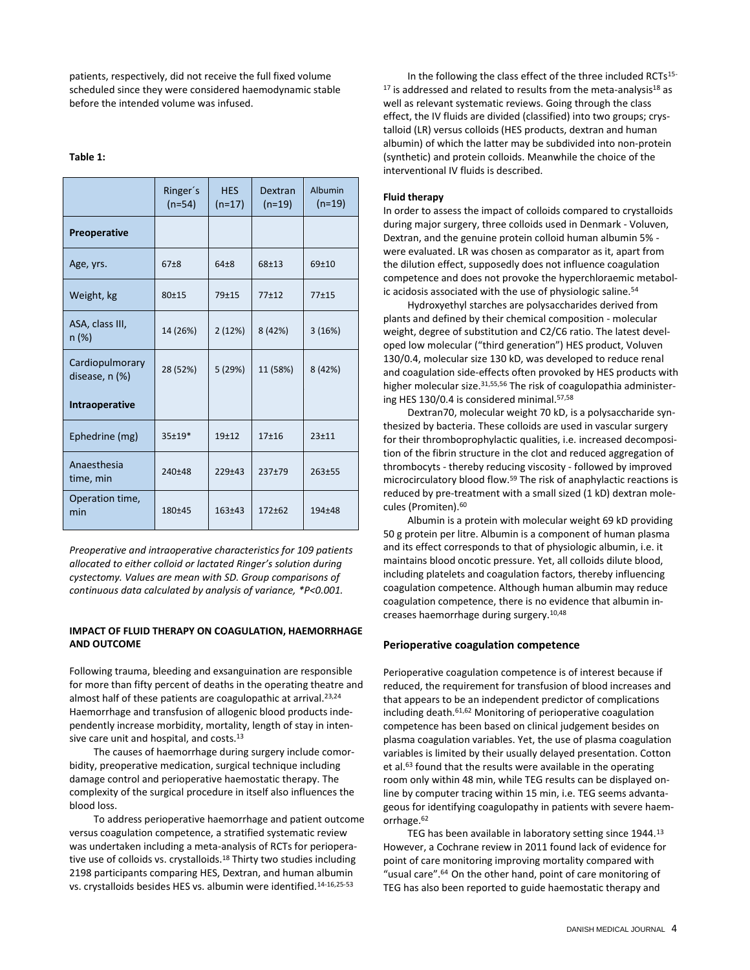patients, respectively, did not receive the full fixed volume scheduled since they were considered haemodynamic stable before the intended volume was infused.

## **Table 1:**

|                                   | Ringer's<br>$(n=54)$ | <b>HES</b><br>$(n=17)$ | Dextran<br>$(n=19)$ | Albumin<br>$(n=19)$ |
|-----------------------------------|----------------------|------------------------|---------------------|---------------------|
| <b>Preoperative</b>               |                      |                        |                     |                     |
| Age, yrs.                         | $67 + 8$             | $64 + 8$               | $68 + 13$           | $69 + 10$           |
| Weight, kg                        | 80±15                | $79 + 15$              | $77+12$             | $77 + 15$           |
| ASA, class III,<br>$n (\%)$       | 14 (26%)             | 2(12%)                 | 8 (42%)             | 3(16%)              |
| Cardiopulmorary<br>disease, n (%) | 28 (52%)             | 5 (29%)                | 11 (58%)            | 8 (42%)             |
| Intraoperative                    |                      |                        |                     |                     |
| Ephedrine (mg)                    | $35+19*$             | $19 + 12$              | $17 + 16$           | $23 + 11$           |
| Anaesthesia<br>time, min          | 240±48               | $229+43$               | $237 + 79$          | $263 + 55$          |
| Operation time,<br>min            | 180±45               | $163 + 43$             | $172 + 62$          | 194±48              |

*Preoperative and intraoperative characteristics for 109 patients allocated to either colloid or lactated Ringer's solution during cystectomy. Values are mean with SD. Group comparisons of continuous data calculated by analysis of variance, \*P<0.001.*

# **IMPACT OF FLUID THERAPY ON COAGULATION, HAEMORRHAGE AND OUTCOME**

Following trauma, bleeding and exsanguination are responsible for more than fifty percent of deaths in the operating theatre and almost half of these patients are coagulopathic at arrival.<sup>23,24</sup> Haemorrhage and transfusion of allogenic blood products independently increase morbidity, mortality, length of stay in intensive care unit and hospital, and costs.<sup>13</sup>

The causes of haemorrhage during surgery include comorbidity, preoperative medication, surgical technique including damage control and perioperative haemostatic therapy. The complexity of the surgical procedure in itself also influences the blood loss.

To address perioperative haemorrhage and patient outcome versus coagulation competence, a stratified systematic review was undertaken including a meta-analysis of RCTs for perioperative use of colloids vs. crystalloids.<sup>18</sup> Thirty two studies including 2198 participants comparing HES, Dextran, and human albumin vs. crystalloids besides HES vs. albumin were identified.14-16,25-53

In the following the class effect of the three included RCTs<sup>15-</sup>  $17$  is addressed and related to results from the meta-analysis $18$  as well as relevant systematic reviews. Going through the class effect, the IV fluids are divided (classified) into two groups; crystalloid (LR) versus colloids (HES products, dextran and human albumin) of which the latter may be subdivided into non-protein (synthetic) and protein colloids. Meanwhile the choice of the interventional IV fluids is described.

## **Fluid therapy**

In order to assess the impact of colloids compared to crystalloids during major surgery, three colloids used in Denmark - Voluven, Dextran, and the genuine protein colloid human albumin 5% were evaluated. LR was chosen as comparator as it, apart from the dilution effect, supposedly does not influence coagulation competence and does not provoke the hyperchloraemic metabolic acidosis associated with the use of physiologic saline.<sup>54</sup>

Hydroxyethyl starches are polysaccharides derived from plants and defined by their chemical composition - molecular weight, degree of substitution and C2/C6 ratio. The latest developed low molecular ("third generation") HES product, Voluven 130/0.4, molecular size 130 kD, was developed to reduce renal and coagulation side-effects often provoked by HES products with higher molecular size.<sup>31,55,56</sup> The risk of coagulopathia administering HES 130/0.4 is considered minimal.57,58

Dextran70, molecular weight 70 kD, is a polysaccharide synthesized by bacteria. These colloids are used in vascular surgery for their thromboprophylactic qualities, i.e. increased decomposition of the fibrin structure in the clot and reduced aggregation of thrombocyts - thereby reducing viscosity - followed by improved microcirculatory blood flow.<sup>59</sup> The risk of anaphylactic reactions is reduced by pre-treatment with a small sized (1 kD) dextran molecules (Promiten).<sup>60</sup>

Albumin is a protein with molecular weight 69 kD providing 50 g protein per litre. Albumin is a component of human plasma and its effect corresponds to that of physiologic albumin, i.e. it maintains blood oncotic pressure. Yet, all colloids dilute blood, including platelets and coagulation factors, thereby influencing coagulation competence. Although human albumin may reduce coagulation competence, there is no evidence that albumin increases haemorrhage during surgery.10,48

# **Perioperative coagulation competence**

Perioperative coagulation competence is of interest because if reduced, the requirement for transfusion of blood increases and that appears to be an independent predictor of complications including death.61,62 Monitoring of perioperative coagulation competence has been based on clinical judgement besides on plasma coagulation variables. Yet, the use of plasma coagulation variables is limited by their usually delayed presentation. Cotton et al.<sup>63</sup> found that the results were available in the operating room only within 48 min, while TEG results can be displayed online by computer tracing within 15 min, i.e. TEG seems advantageous for identifying coagulopathy in patients with severe haemorrhage.<sup>62</sup>

TEG has been available in laboratory setting since 1944.<sup>13</sup> However, a Cochrane review in 2011 found lack of evidence for point of care monitoring improving mortality compared with "usual care".<sup>64</sup> On the other hand, point of care monitoring of TEG has also been reported to guide haemostatic therapy and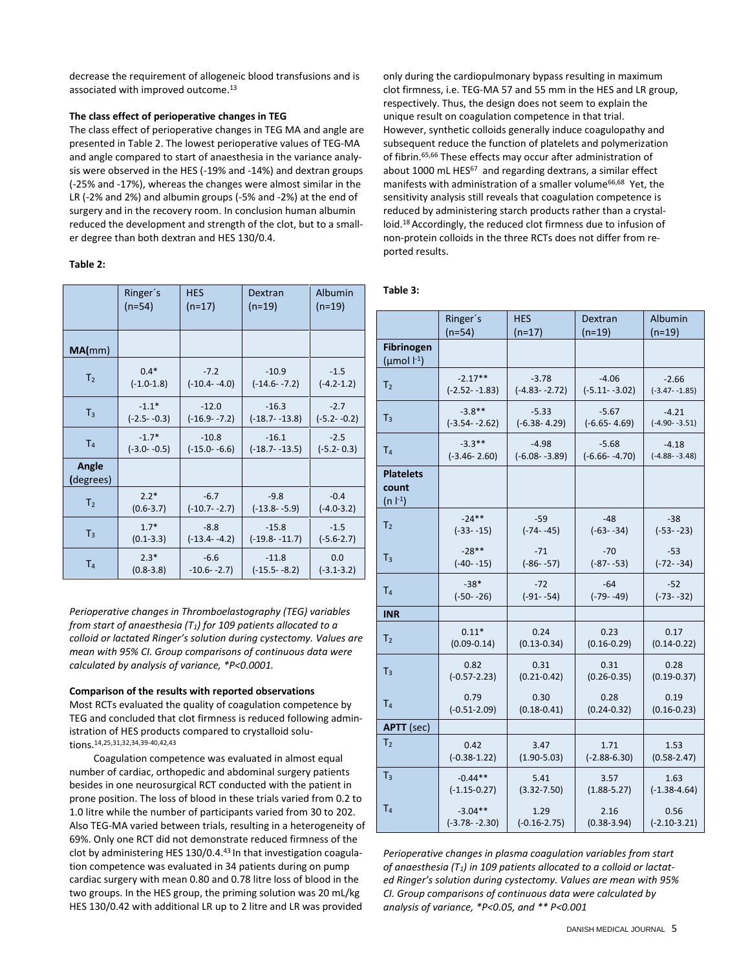decrease the requirement of allogeneic blood transfusions and is associated with improved outcome.<sup>13</sup>

# **The class effect of perioperative changes in TEG**

The class effect of perioperative changes in TEG MA and angle are presented in Table 2. The lowest perioperative values of TEG-MA and angle compared to start of anaesthesia in the variance analysis were observed in the HES (-19% and -14%) and dextran groups (-25% and -17%), whereas the changes were almost similar in the LR (-2% and 2%) and albumin groups (-5% and -2%) at the end of surgery and in the recovery room. In conclusion human albumin reduced the development and strength of the clot, but to a smaller degree than both dextran and HES 130/0.4.

# **Table 2:**

|                    | Ringer's        | <b>HES</b>       | Dextran           | Albumin         |
|--------------------|-----------------|------------------|-------------------|-----------------|
|                    | $(n=54)$        | $(n=17)$         | $(n=19)$          | $(n=19)$        |
| MA(mm)             |                 |                  |                   |                 |
| T <sub>2</sub>     | $0.4*$          | $-7.2$           | $-10.9$           | $-1.5$          |
|                    | $(-1.0-1.8)$    | $(-10.4 - -4.0)$ | $(-14.6 - -7.2)$  | $(-4.2 - 1.2)$  |
| $T_3$              | $-1.1*$         | $-12.0$          | $-16.3$           | $-2.7$          |
|                    | $(-2.5 - -0.3)$ | $(-16.9 - -7.2)$ | $(-18.7 - 13.8)$  | $(-5.2 - -0.2)$ |
| T <sub>4</sub>     | $-1.7*$         | $-10.8$          | $-16.1$           | $-2.5$          |
|                    | $(-3.0 - -0.5)$ | $(-15.0 - -6.6)$ | $(-18.7 - 13.5)$  | $(-5.2 - 0.3)$  |
| Angle<br>(degrees) |                 |                  |                   |                 |
| T <sub>2</sub>     | $2.2*$          | $-6.7$           | $-9.8$            | $-0.4$          |
|                    | $(0.6 - 3.7)$   | $(-10.7 - -2.7)$ | $(-13.8 - -5.9)$  | $(-4.0 - 3.2)$  |
| $T_3$              | $1.7*$          | $-8.8$           | $-15.8$           | $-1.5$          |
|                    | $(0.1 - 3.3)$   | $(-13.4 - -4.2)$ | $(-19.8 - -11.7)$ | $(-5.6-2.7)$    |
| T <sub>4</sub>     | $2.3*$          | $-6.6$           | $-11.8$           | 0.0             |
|                    | $(0.8 - 3.8)$   | $-10.6 - -2.7$   | $(-15.5 - -8.2)$  | $(-3.1 - 3.2)$  |

*Perioperative changes in Thromboelastography (TEG) variables from start of anaesthesia (T1) for 109 patients allocated to a colloid or lactated Ringer's solution during cystectomy. Values are mean with 95% CI. Group comparisons of continuous data were calculated by analysis of variance, \*P<0.0001.*

# **Comparison of the results with reported observations**

Most RCTs evaluated the quality of coagulation competence by TEG and concluded that clot firmness is reduced following administration of HES products compared to crystalloid solutions. 14,25,31,32,34,39-40,42,43

Coagulation competence was evaluated in almost equal number of cardiac, orthopedic and abdominal surgery patients besides in one neurosurgical RCT conducted with the patient in prone position. The loss of blood in these trials varied from 0.2 to 1.0 litre while the number of participants varied from 30 to 202. Also TEG-MA varied between trials, resulting in a heterogeneity of 69%. Only one RCT did not demonstrate reduced firmness of the clot by administering HES 130/0.4.<sup>43</sup> In that investigation coagulation competence was evaluated in 34 patients during on pump cardiac surgery with mean 0.80 and 0.78 litre loss of blood in the two groups. In the HES group, the priming solution was 20 mL/kg HES 130/0.42 with additional LR up to 2 litre and LR was provided

only during the cardiopulmonary bypass resulting in maximum clot firmness, i.e. TEG-MA 57 and 55 mm in the HES and LR group, respectively. Thus, the design does not seem to explain the unique result on coagulation competence in that trial. However, synthetic colloids generally induce coagulopathy and subsequent reduce the function of platelets and polymerization of fibrin.65,66 These effects may occur after administration of about 1000 mL HES<sup>67</sup> and regarding dextrans, a similar effect manifests with administration of a smaller volume<sup>66,68</sup> Yet, the sensitivity analysis still reveals that coagulation competence is reduced by administering starch products rather than a crystalloid.<sup>18</sup>Accordingly, the reduced clot firmness due to infusion of non-protein colloids in the three RCTs does not differ from reported results.

# **Table 3:**

|                                                   | Ringer's          | <b>HES</b>        | Dextran           | Albumin           |
|---------------------------------------------------|-------------------|-------------------|-------------------|-------------------|
|                                                   | $(n=54)$          | $(n=17)$          | $(n=19)$          | $(n=19)$          |
| <b>Fibrinogen</b><br>$(\mu \text{mol} \mid^{-1})$ |                   |                   |                   |                   |
| T <sub>2</sub>                                    | $-2.17**$         | $-3.78$           | $-4.06$           | $-2.66$           |
|                                                   | $(-2.52 - 1.83)$  | $(-4.83 - -2.72)$ | $(-5.11 - -3.02)$ | $(-3.47 - 1.85)$  |
| $T_3$                                             | $-3.8**$          | $-5.33$           | $-5.67$           | $-4.21$           |
|                                                   | $(-3.54 - 2.62)$  | $(-6.38 - 4.29)$  | $(-6.65 - 4.69)$  | $(-4.90 - 3.51)$  |
| T <sub>4</sub>                                    | $-3.3**$          | $-4.98$           | $-5.68$           | $-4.18$           |
|                                                   | $(-3.46 - 2.60)$  | $(-6.08 - -3.89)$ | $(-6.66 - -4.70)$ | $(-4.88 - -3.48)$ |
| <b>Platelets</b><br>count<br>$(n  ^{-1})$         |                   |                   |                   |                   |
| T <sub>2</sub>                                    | $-24**$           | $-59$             | $-48$             | $-38$             |
|                                                   | $(-33 - -15)$     | $(-74 - -45)$     | $(-63 - -34)$     | $(-53 - 23)$      |
| $T_3$                                             | $-28**$           | $-71$             | $-70$             | $-53$             |
|                                                   | $(-40 - 15)$      | $(-86 - -57)$     | $(-87 - 53)$      | $(-72 - -34)$     |
| T <sub>4</sub>                                    | $-38*$            | $-72$             | $-64$             | $-52$             |
|                                                   | $(-50 - -26)$     | $(-91 - -54)$     | $(-79 - -49)$     | $(-73 - -32)$     |
| <b>INR</b>                                        |                   |                   |                   |                   |
| T <sub>2</sub>                                    | $0.11*$           | 0.24              | 0.23              | 0.17              |
|                                                   | $(0.09 - 0.14)$   | $(0.13 - 0.34)$   | $(0.16 - 0.29)$   | $(0.14 - 0.22)$   |
| $T_3$                                             | 0.82              | 0.31              | 0.31              | 0.28              |
|                                                   | $(-0.57 - 2.23)$  | $(0.21 - 0.42)$   | $(0.26 - 0.35)$   | $(0.19 - 0.37)$   |
| T <sub>4</sub>                                    | 0.79              | 0.30              | 0.28              | 0.19              |
|                                                   | $(-0.51 - 2.09)$  | $(0.18 - 0.41)$   | $(0.24 - 0.32)$   | $(0.16 - 0.23)$   |
| <b>APTT</b> (sec)                                 |                   |                   |                   |                   |
| T <sub>2</sub>                                    | 0.42              | 3.47              | 1.71              | 1.53              |
|                                                   | $(-0.38 - 1.22)$  | $(1.90 - 5.03)$   | $(-2.88 - 6.30)$  | $(0.58 - 2.47)$   |
| $T_3$                                             | $-0.44**$         | 5.41              | 3.57              | 1.63              |
|                                                   | $(-1.15 - 0.27)$  | $(3.32 - 7.50)$   | $(1.88 - 5.27)$   | $(-1.38 - 4.64)$  |
| $T_{4}$                                           | $-3.04**$         | 1.29              | 2.16              | 0.56              |
|                                                   | $(-3.78 - -2.30)$ | $(-0.16 - 2.75)$  | $(0.38 - 3.94)$   | $(-2.10-3.21)$    |

*Perioperative changes in plasma coagulation variables from start of anaesthesia (T1) in 109 patients allocated to a colloid or lactated Ringer's solution during cystectomy. Values are mean with 95% CI. Group comparisons of continuous data were calculated by analysis of variance, \*P<0.05, and \*\* P<0.001*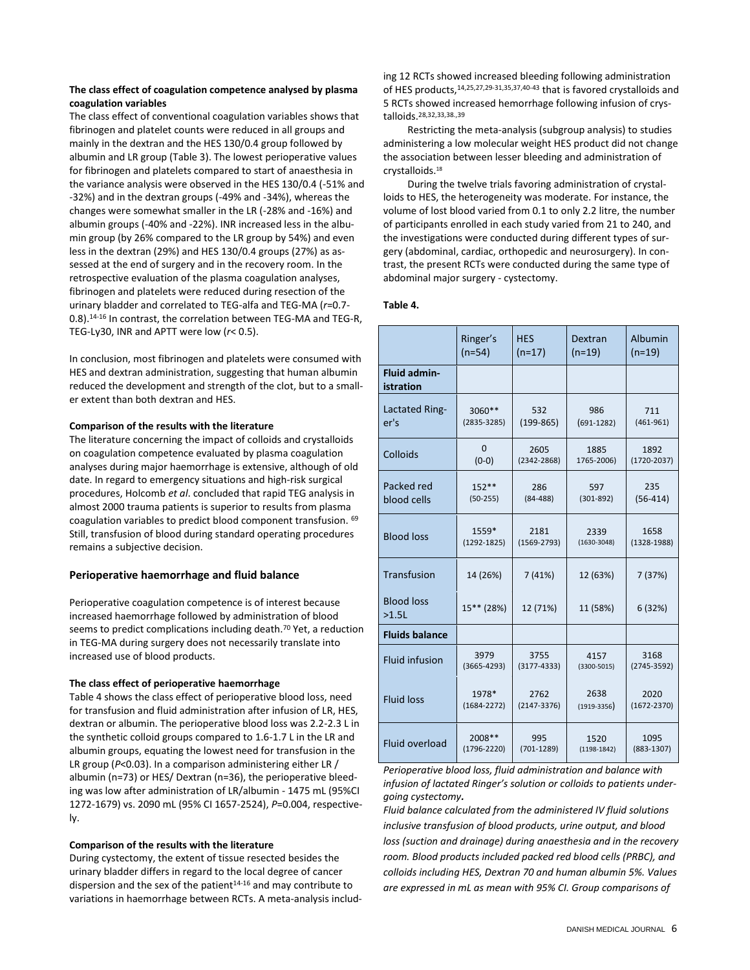# **The class effect of coagulation competence analysed by plasma coagulation variables**

The class effect of conventional coagulation variables shows that fibrinogen and platelet counts were reduced in all groups and mainly in the dextran and the HES 130/0.4 group followed by albumin and LR group (Table 3). The lowest perioperative values for fibrinogen and platelets compared to start of anaesthesia in the variance analysis were observed in the HES 130/0.4 (-51% and -32%) and in the dextran groups (-49% and -34%), whereas the changes were somewhat smaller in the LR (-28% and -16%) and albumin groups (-40% and -22%). INR increased less in the albumin group (by 26% compared to the LR group by 54%) and even less in the dextran (29%) and HES 130/0.4 groups (27%) as assessed at the end of surgery and in the recovery room. In the retrospective evaluation of the plasma coagulation analyses, fibrinogen and platelets were reduced during resection of the urinary bladder and correlated to TEG-alfa and TEG-MA (*r*=0.7- 0.8).14-16 In contrast, the correlation between TEG-MA and TEG-R, TEG-Ly30, INR and APTT were low (*r*< 0.5).

In conclusion, most fibrinogen and platelets were consumed with HES and dextran administration, suggesting that human albumin reduced the development and strength of the clot, but to a smaller extent than both dextran and HES.

# **Comparison of the results with the literature**

The literature concerning the impact of colloids and crystalloids on coagulation competence evaluated by plasma coagulation analyses during major haemorrhage is extensive, although of old date. In regard to emergency situations and high-risk surgical procedures, Holcomb *et al*. concluded that rapid TEG analysis in almost 2000 trauma patients is superior to results from plasma coagulation variables to predict blood component transfusion. <sup>69</sup> Still, transfusion of blood during standard operating procedures remains a subjective decision.

# **Perioperative haemorrhage and fluid balance**

Perioperative coagulation competence is of interest because increased haemorrhage followed by administration of blood seems to predict complications including death.<sup>70</sup> Yet, a reduction in TEG-MA during surgery does not necessarily translate into increased use of blood products.

# **The class effect of perioperative haemorrhage**

Table 4 shows the class effect of perioperative blood loss, need for transfusion and fluid administration after infusion of LR, HES, dextran or albumin. The perioperative blood loss was 2.2-2.3 L in the synthetic colloid groups compared to 1.6-1.7 L in the LR and albumin groups, equating the lowest need for transfusion in the LR group (*P*<0.03). In a comparison administering either LR / albumin (n=73) or HES/ Dextran (n=36), the perioperative bleeding was low after administration of LR/albumin - 1475 mL (95%CI 1272-1679) vs. 2090 mL (95% CI 1657-2524), *P*=0.004, respectively.

# **Comparison of the results with the literature**

During cystectomy, the extent of tissue resected besides the urinary bladder differs in regard to the local degree of cancer dispersion and the sex of the patient $14-16$  and may contribute to variations in haemorrhage between RCTs. A meta-analysis including 12 RCTs showed increased bleeding following administration of HES products,14,25,27,29-31,35,37,40-43 that is favored crystalloids and 5 RCTs showed increased hemorrhage following infusion of crystalloids.28,32,33,38.,39

Restricting the meta-analysis (subgroup analysis) to studies administering a low molecular weight HES product did not change the association between lesser bleeding and administration of crystalloids.<sup>18</sup>

During the twelve trials favoring administration of crystalloids to HES, the heterogeneity was moderate. For instance, the volume of lost blood varied from 0.1 to only 2.2 litre, the number of participants enrolled in each study varied from 21 to 240, and the investigations were conducted during different types of surgery (abdominal, cardiac, orthopedic and neurosurgery). In contrast, the present RCTs were conducted during the same type of abdominal major surgery - cystectomy.

## **Table 4.**

|                                  | Ringer's        | <b>HES</b>      | Dextran         | Albumin         |
|----------------------------------|-----------------|-----------------|-----------------|-----------------|
|                                  | $(n=54)$        | $(n=17)$        | $(n=19)$        | $(n=19)$        |
| <b>Fluid admin-</b><br>istration |                 |                 |                 |                 |
| Lactated Ring-                   | $3060**$        | 532             | 986             | 711             |
| er's                             | $(2835 - 3285)$ | $(199-865)$     | $(691 - 1282)$  | $(461 - 961)$   |
| Colloids                         | $\Omega$        | 2605            | 1885            | 1892            |
|                                  | $(0-0)$         | $(2342 - 2868)$ | 1765-2006)      | $(1720 - 2037)$ |
| Packed red                       | $152**$         | 286             | 597             | 235             |
| blood cells                      | $(50-255)$      | $(84 - 488)$    | $(301 - 892)$   | $(56-414)$      |
| <b>Blood loss</b>                | 1559*           | 2181            | 2339            | 1658            |
|                                  | $(1292 - 1825)$ | $(1569 - 2793)$ | $(1630 - 3048)$ | $(1328 - 1988)$ |
| Transfusion                      | 14 (26%)        | 7(41%)          | 12 (63%)        | 7(37%)          |
| <b>Blood loss</b><br>$>1.5L$     | $15***$ (28%)   | 12 (71%)        | 11 (58%)        | 6 (32%)         |
| <b>Fluids balance</b>            |                 |                 |                 |                 |
| <b>Fluid infusion</b>            | 3979            | 3755            | 4157            | 3168            |
|                                  | $(3665 - 4293)$ | $(3177 - 4333)$ | $(3300 - 5015)$ | $(2745 - 3592)$ |
| <b>Fluid loss</b>                | 1978*           | 2762            | 2638            | 2020            |
|                                  | $(1684 - 2272)$ | $(2147 - 3376)$ | $(1919-3356)$   | $(1672 - 2370)$ |
| Fluid overload                   | 2008**          | 995             | 1520            | 1095            |
|                                  | $(1796 - 2220)$ | $(701 - 1289)$  | $(1198-1842)$   | $(883 - 1307)$  |

*Perioperative blood loss, fluid administration and balance with infusion of lactated Ringer's solution or colloids to patients undergoing cystectomy.*

*Fluid balance calculated from the administered IV fluid solutions inclusive transfusion of blood products, urine output, and blood loss (suction and drainage) during anaesthesia and in the recovery room. Blood products included packed red blood cells (PRBC), and colloids including HES, Dextran 70 and human albumin 5%. Values are expressed in mL as mean with 95% CI. Group comparisons of*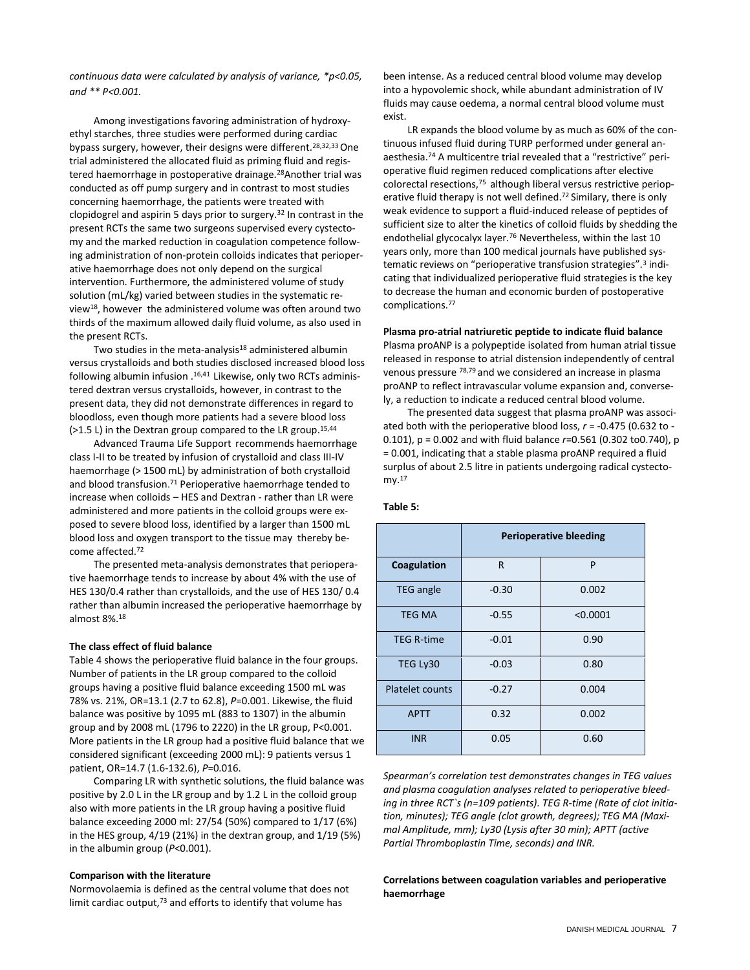*continuous data were calculated by analysis of variance, \*p<0.05, and \*\* P<0.001.*

Among investigations favoring administration of hydroxyethyl starches, three studies were performed during cardiac bypass surgery, however, their designs were different.<sup>28,32,33</sup> One trial administered the allocated fluid as priming fluid and registered haemorrhage in postoperative drainage.<sup>28</sup>Another trial was conducted as off pump surgery and in contrast to most studies concerning haemorrhage, the patients were treated with clopidogrel and aspirin 5 days prior to surgery.<sup>32</sup> In contrast in the present RCTs the same two surgeons supervised every cystectomy and the marked reduction in coagulation competence following administration of non-protein colloids indicates that perioperative haemorrhage does not only depend on the surgical intervention. Furthermore, the administered volume of study solution (mL/kg) varied between studies in the systematic review<sup>18</sup>, however the administered volume was often around two thirds of the maximum allowed daily fluid volume, as also used in the present RCTs.

Two studies in the meta-analysis<sup>18</sup> administered albumin versus crystalloids and both studies disclosed increased blood loss following albumin infusion .<sup>16,41</sup> Likewise, only two RCTs administered dextran versus crystalloids, however, in contrast to the present data, they did not demonstrate differences in regard to bloodloss, even though more patients had a severe blood loss (>1.5 L) in the Dextran group compared to the LR group. 15,44

Advanced Trauma Life Support recommends haemorrhage class I-II to be treated by infusion of crystalloid and class III-IV haemorrhage (> 1500 mL) by administration of both crystalloid and blood transfusion. <sup>71</sup> Perioperative haemorrhage tended to increase when colloids – HES and Dextran - rather than LR were administered and more patients in the colloid groups were exposed to severe blood loss, identified by a larger than 1500 mL blood loss and oxygen transport to the tissue may thereby become affected.<sup>72</sup>

The presented meta-analysis demonstrates that perioperative haemorrhage tends to increase by about 4% with the use of HES 130/0.4 rather than crystalloids, and the use of HES 130/ 0.4 rather than albumin increased the perioperative haemorrhage by almost 8%.<sup>18</sup>

## **The class effect of fluid balance**

Table 4 shows the perioperative fluid balance in the four groups. Number of patients in the LR group compared to the colloid groups having a positive fluid balance exceeding 1500 mL was 78% vs. 21%, OR=13.1 (2.7 to 62.8), *P*=0.001. Likewise, the fluid balance was positive by 1095 mL (883 to 1307) in the albumin group and by 2008 mL (1796 to 2220) in the LR group, P<0.001. More patients in the LR group had a positive fluid balance that we considered significant (exceeding 2000 mL): 9 patients versus 1 patient, OR=14.7 (1.6-132.6), *P*=0.016.

Comparing LR with synthetic solutions, the fluid balance was positive by 2.0 L in the LR group and by 1.2 L in the colloid group also with more patients in the LR group having a positive fluid balance exceeding 2000 ml: 27/54 (50%) compared to 1/17 (6%) in the HES group, 4/19 (21%) in the dextran group, and 1/19 (5%) in the albumin group (*P*<0.001).

## **Comparison with the literature**

Normovolaemia is defined as the central volume that does not limit cardiac output, $73$  and efforts to identify that volume has

been intense. As a reduced central blood volume may develop into a hypovolemic shock, while abundant administration of IV fluids may cause oedema, a normal central blood volume must exist.

LR expands the blood volume by as much as 60% of the continuous infused fluid during TURP performed under general anaesthesia.<sup>74</sup> A multicentre trial revealed that a "restrictive" perioperative fluid regimen reduced complications after elective colorectal resections,75 although liberal versus restrictive perioperative fluid therapy is not well defined.<sup>72</sup> Similary, there is only weak evidence to support a fluid-induced release of peptides of sufficient size to alter the kinetics of colloid fluids by shedding the endothelial glycocalyx layer.<sup>76</sup> Nevertheless, within the last 10 years only, more than 100 medical journals have published systematic reviews on "perioperative transfusion strategies".<sup>3</sup> indicating that individualized perioperative fluid strategies is the key to decrease the human and economic burden of postoperative complications.<sup>77</sup>

# **Plasma pro-atrial natriuretic peptide to indicate fluid balance**

Plasma proANP is a polypeptide isolated from human atrial tissue released in response to atrial distension independently of central venous pressure 78,79 and we considered an increase in plasma proANP to reflect intravascular volume expansion and, conversely, a reduction to indicate a reduced central blood volume.

The presented data suggest that plasma proANP was associated both with the perioperative blood loss, *r* = -0.475 (0.632 to - 0.101), p = 0.002 and with fluid balance *r*=0.561 (0.302 to0.740), p = 0.001, indicating that a stable plasma proANP required a fluid surplus of about 2.5 litre in patients undergoing radical cystectomy.<sup>17</sup>

|                        | <b>Perioperative bleeding</b> |          |  |  |
|------------------------|-------------------------------|----------|--|--|
| Coagulation            | R                             | P        |  |  |
| <b>TEG</b> angle       | $-0.30$                       | 0.002    |  |  |
| <b>TEG MA</b>          | $-0.55$                       | < 0.0001 |  |  |
| <b>TEG R-time</b>      | $-0.01$                       | 0.90     |  |  |
| TEG Ly30               | $-0.03$                       | 0.80     |  |  |
| <b>Platelet counts</b> | $-0.27$                       | 0.004    |  |  |
| <b>APTT</b>            | 0.32                          | 0.002    |  |  |
| <b>INR</b>             | 0.05                          | 0.60     |  |  |

## **Table 5:**

*Spearman's correlation test demonstrates changes in TEG values and plasma coagulation analyses related to perioperative bleeding in three RCT`s (n=109 patients). TEG R-time (Rate of clot initiation, minutes); TEG angle (clot growth, degrees); TEG MA (Maximal Amplitude, mm); Ly30 (Lysis after 30 min); APTT (active Partial Thromboplastin Time, seconds) and INR.* 

# **Correlations between coagulation variables and perioperative haemorrhage**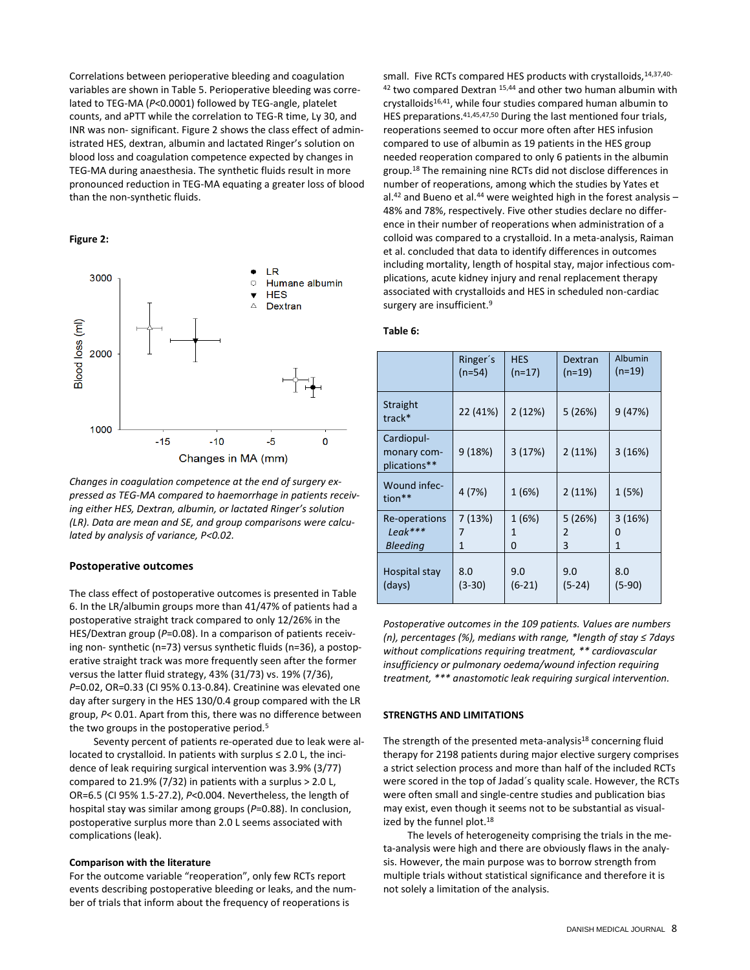Correlations between perioperative bleeding and coagulation variables are shown in Table 5. Perioperative bleeding was correlated to TEG-MA (*P*<0.0001) followed by TEG-angle, platelet counts, and aPTT while the correlation to TEG-R time, Ly 30, and INR was non- significant. Figure 2 shows the class effect of administrated HES, dextran, albumin and lactated Ringer's solution on blood loss and coagulation competence expected by changes in TEG-MA during anaesthesia. The synthetic fluids result in more pronounced reduction in TEG-MA equating a greater loss of blood than the non-synthetic fluids.

# **Figure 2:**



*Changes in coagulation competence at the end of surgery expressed as TEG-MA compared to haemorrhage in patients receiving either HES, Dextran, albumin, or lactated Ringer's solution (LR). Data are mean and SE, and group comparisons were calculated by analysis of variance, P<0.02.*

# **Postoperative outcomes**

The class effect of postoperative outcomes is presented in Table 6. In the LR/albumin groups more than 41/47% of patients had a postoperative straight track compared to only 12/26% in the HES/Dextran group (*P*=0.08). In a comparison of patients receiving non- synthetic (n=73) versus synthetic fluids (n=36), a postoperative straight track was more frequently seen after the former versus the latter fluid strategy, 43% (31/73) vs. 19% (7/36), *P*=0.02, OR=0.33 (CI 95% 0.13-0.84). Creatinine was elevated one day after surgery in the HES 130/0.4 group compared with the LR group, *P*< 0.01. Apart from this, there was no difference between the two groups in the postoperative period.<sup>5</sup>

Seventy percent of patients re-operated due to leak were allocated to crystalloid. In patients with surplus ≤ 2.0 L, the incidence of leak requiring surgical intervention was 3.9% (3/77) compared to 21.9% (7/32) in patients with a surplus > 2.0 L, OR=6.5 (CI 95% 1.5-27.2), *P*<0.004. Nevertheless, the length of hospital stay was similar among groups (*P*=0.88). In conclusion, postoperative surplus more than 2.0 L seems associated with complications (leak).

# **Comparison with the literature**

For the outcome variable "reoperation", only few RCTs report events describing postoperative bleeding or leaks, and the number of trials that inform about the frequency of reoperations is

small. Five RCTs compared HES products with crystalloids, 14,37,40-<sup>42</sup> two compared Dextran <sup>15,44</sup> and other two human albumin with crystalloids<sup>16,41</sup>, while four studies compared human albumin to HES preparations.41,45,47,50 During the last mentioned four trials, reoperations seemed to occur more often after HES infusion compared to use of albumin as 19 patients in the HES group needed reoperation compared to only 6 patients in the albumin group.<sup>18</sup> The remaining nine RCTs did not disclose differences in number of reoperations, among which the studies by Yates et al.<sup>42</sup> and Bueno et al.<sup>44</sup> were weighted high in the forest analysis  $-$ 48% and 78%, respectively. Five other studies declare no difference in their number of reoperations when administration of a colloid was compared to a crystalloid. In a meta-analysis, Raiman et al. concluded that data to identify differences in outcomes including mortality, length of hospital stay, major infectious complications, acute kidney injury and renal replacement therapy associated with crystalloids and HES in scheduled non-cardiac surgery are insufficient.<sup>9</sup>

# **Table 6:**

|                                           | Ringer's | <b>HES</b> | Dextran  | Albumin  |
|-------------------------------------------|----------|------------|----------|----------|
|                                           | $(n=54)$ | $(n=17)$   | $(n=19)$ | $(n=19)$ |
| Straight<br>track*                        | 22 (41%) | 2(12%)     | 5 (26%)  | 9(47%)   |
| Cardiopul-<br>monary com-<br>plications** | 9(18%)   | 3(17%)     | 2(11%)   | 3(16%)   |
| Wound infec-<br>tion**                    | 4(7%)    | 1(6%)      | 2(11%)   | 1(5%)    |
| Re-operations                             | 7(13%)   | 1 (6%)     | 5(26%)   | 3(16%)   |
| Leak***                                   | 7        | 1          | 2        | 0        |
| <b>Bleeding</b>                           | 1        | 0          | 3        | 1        |
| Hospital stay                             | 8.0      | 9.0        | 9.0      | 8.0      |
| (days)                                    | $(3-30)$ | $(6-21)$   | $(5-24)$ | $(5-90)$ |

*Postoperative outcomes in the 109 patients. Values are numbers (n), percentages (%), medians with range, \*length of stay ≤ 7days without complications requiring treatment, \*\* cardiovascular insufficiency or pulmonary oedema/wound infection requiring treatment, \*\*\* anastomotic leak requiring surgical intervention.*

# **STRENGTHS AND LIMITATIONS**

The strength of the presented meta-analysis<sup>18</sup> concerning fluid therapy for 2198 patients during major elective surgery comprises a strict selection process and more than half of the included RCTs were scored in the top of Jadad´s quality scale. However, the RCTs were often small and single-centre studies and publication bias may exist, even though it seems not to be substantial as visualized by the funnel plot.<sup>18</sup>

The levels of heterogeneity comprising the trials in the meta-analysis were high and there are obviously flaws in the analysis. However, the main purpose was to borrow strength from multiple trials without statistical significance and therefore it is not solely a limitation of the analysis.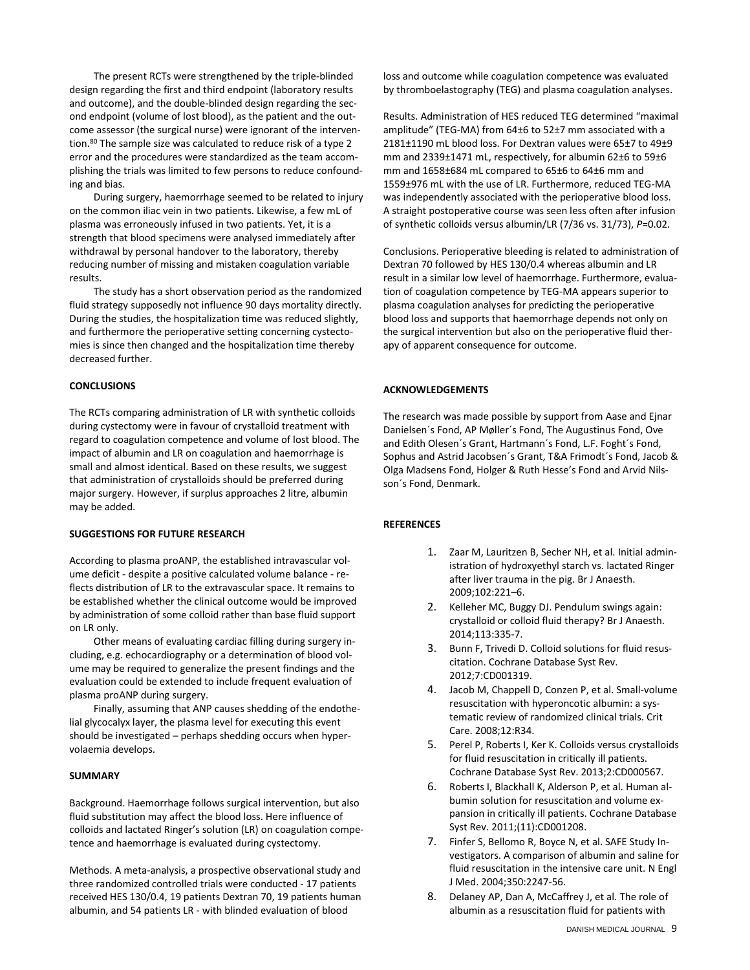The present RCTs were strengthened by the triple-blinded design regarding the first and third endpoint (laboratory results and outcome), and the double-blinded design regarding the second endpoint (volume of lost blood), as the patient and the outcome assessor (the surgical nurse) were ignorant of the intervention.<sup>80</sup> The sample size was calculated to reduce risk of a type 2 error and the procedures were standardized as the team accomplishing the trials was limited to few persons to reduce confounding and bias.

During surgery, haemorrhage seemed to be related to injury on the common iliac vein in two patients. Likewise, a few mL of plasma was erroneously infused in two patients. Yet, it is a strength that blood specimens were analysed immediately after withdrawal by personal handover to the laboratory, thereby reducing number of missing and mistaken coagulation variable results.

The study has a short observation period as the randomized fluid strategy supposedly not influence 90 days mortality directly. During the studies, the hospitalization time was reduced slightly, and furthermore the perioperative setting concerning cystectomies is since then changed and the hospitalization time thereby decreased further.

# **CONCLUSIONS**

The RCTs comparing administration of LR with synthetic colloids during cystectomy were in favour of crystalloid treatment with regard to coagulation competence and volume of lost blood. The impact of albumin and LR on coagulation and haemorrhage is small and almost identical. Based on these results, we suggest that administration of crystalloids should be preferred during major surgery. However, if surplus approaches 2 litre, albumin may be added.

# **SUGGESTIONS FOR FUTURE RESEARCH**

According to plasma proANP, the established intravascular volume deficit - despite a positive calculated volume balance - reflects distribution of LR to the extravascular space. It remains to be established whether the clinical outcome would be improved by administration of some colloid rather than base fluid support on LR only.

Other means of evaluating cardiac filling during surgery including, e.g. echocardiography or a determination of blood volume may be required to generalize the present findings and the evaluation could be extended to include frequent evaluation of plasma proANP during surgery.

Finally, assuming that ANP causes shedding of the endothelial glycocalyx layer, the plasma level for executing this event should be investigated – perhaps shedding occurs when hypervolaemia develops.

#### **SUMMARY**

Background. Haemorrhage follows surgical intervention, but also fluid substitution may affect the blood loss. Here influence of colloids and lactated Ringer's solution (LR) on coagulation competence and haemorrhage is evaluated during cystectomy.

Methods. A meta-analysis, a prospective observational study and three randomized controlled trials were conducted - 17 patients received HES 130/0.4, 19 patients Dextran 70, 19 patients human albumin, and 54 patients LR - with blinded evaluation of blood

loss and outcome while coagulation competence was evaluated by thromboelastography (TEG) and plasma coagulation analyses.

Results. Administration of HES reduced TEG determined "maximal amplitude" (TEG-MA) from 64±6 to 52±7 mm associated with a 2181±1190 mL blood loss. For Dextran values were 65±7 to 49±9 mm and 2339±1471 mL, respectively, for albumin 62±6 to 59±6 mm and 1658±684 mL compared to 65±6 to 64±6 mm and 1559±976 mL with the use of LR. Furthermore, reduced TEG-MA was independently associated with the perioperative blood loss. A straight postoperative course was seen less often after infusion of synthetic colloids versus albumin/LR (7/36 vs. 31/73), *P*=0.02.

Conclusions. Perioperative bleeding is related to administration of Dextran 70 followed by HES 130/0.4 whereas albumin and LR result in a similar low level of haemorrhage. Furthermore, evaluation of coagulation competence by TEG-MA appears superior to plasma coagulation analyses for predicting the perioperative blood loss and supports that haemorrhage depends not only on the surgical intervention but also on the perioperative fluid therapy of apparent consequence for outcome.

## **ACKNOWLEDGEMENTS**

The research was made possible by support from Aase and Ejnar Danielsen´s Fond, AP Møller´s Fond, The Augustinus Fond, Ove and Edith Olesen´s Grant, Hartmann´s Fond, L.F. Foght´s Fond, Sophus and Astrid Jacobsen´s Grant, T&A Frimodt´s Fond, Jacob & Olga Madsens Fond, Holger & Ruth Hesse's Fond and Arvid Nilsson´s Fond, Denmark.

# **REFERENCES**

- 1. Zaar M, Lauritzen B, Secher NH, et al. Initial administration of hydroxyethyl starch vs. lactated Ringer after liver trauma in the pig. Br J Anaesth. 2009;102:221–6.
- 2. Kelleher MC, Buggy DJ. Pendulum swings again: crystalloid or colloid fluid therapy? Br J Anaesth. 2014;113:335-7.
- 3. Bunn F, Trivedi D. Colloid solutions for fluid resuscitation. Cochrane Database Syst Rev. 2012;7:CD001319.
- 4. Jacob M, Chappell D, Conzen P, et al. Small-volume resuscitation with hyperoncotic albumin: a systematic review of randomized clinical trials. Crit Care. 2008;12:R34.
- 5. Perel P, Roberts I, Ker K. Colloids versus crystalloids for fluid resuscitation in critically ill patients. Cochrane Database Syst Rev. 2013;2:CD000567.
- 6. Roberts I, Blackhall K, Alderson P, et al. Human albumin solution for resuscitation and volume expansion in critically ill patients. Cochrane Database Syst Rev. 2011;(11):CD001208.
- 7. Finfer S, Bellomo R, Boyce N, et al. SAFE Study Investigators. A comparison of albumin and saline for fluid resuscitation in the intensive care unit. N Engl J Med. 2004;350:2247-56.
- 8. Delaney AP, Dan A, McCaffrey J, et al. The role of albumin as a resuscitation fluid for patients with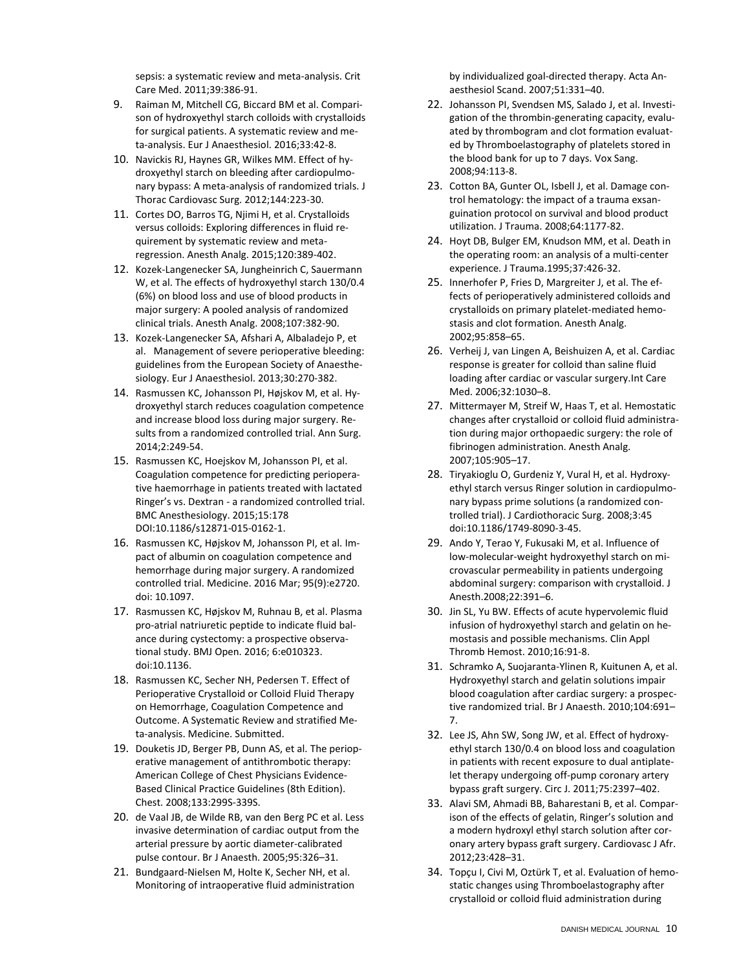sepsis: a systematic review and meta-analysis. Crit Care Med. 2011;39:386-91.

- 9. Raiman M, Mitchell CG, Biccard BM et al. Comparison of hydroxyethyl starch colloids with crystalloids for surgical patients. A systematic review and meta-analysis. Eur J Anaesthesiol. 2016;33:42-8.
- 10. Navickis RJ, Haynes GR, Wilkes MM. Effect of hydroxyethyl starch on bleeding after cardiopulmonary bypass: A meta-analysis of randomized trials. J Thorac Cardiovasc Surg. 2012;144:223-30.
- 11. Cortes DO, Barros TG, Njimi H, et al. Crystalloids versus colloids: Exploring differences in fluid requirement by systematic review and metaregression. Anesth Analg. 2015;120:389-402.
- 12. Kozek-Langenecker SA, Jungheinrich C, Sauermann W, et al. The effects of hydroxyethyl starch 130/0.4 (6%) on blood loss and use of blood products in major surgery: A pooled analysis of randomized clinical trials. Anesth Analg. 2008;107:382-90.
- 13. Kozek-Langenecker SA, [Afshari A,](http://www.ncbi.nlm.nih.gov/pubmed/?term=Afshari%20A%5BAuthor%5D&cauthor=true&cauthor_uid=23656742) [Albaladejo P,](http://www.ncbi.nlm.nih.gov/pubmed/?term=Albaladejo%20P%5BAuthor%5D&cauthor=true&cauthor_uid=23656742) et al. Management of severe perioperative bleeding: guidelines from the European Society of Anaesthesiology[. Eur J Anaesthesiol.](http://www.ncbi.nlm.nih.gov/pubmed/23656742) 2013;30:270-382.
- 14. [Rasmussen KC,](http://www.ncbi.nlm.nih.gov/pubmed/?term=Rasmussen%20KC%5BAuthor%5D&cauthor=true&cauthor_uid=24100337) [Johansson PI,](http://www.ncbi.nlm.nih.gov/pubmed/?term=Johansson%20PI%5BAuthor%5D&cauthor=true&cauthor_uid=24100337) [Højskov M,](http://www.ncbi.nlm.nih.gov/pubmed/?term=H%C3%B8jskov%20M%5BAuthor%5D&cauthor=true&cauthor_uid=24100337) et al. Hydroxyethyl starch reduces coagulation competence and increase blood loss during major surgery. Results from a randomized controlled trial. Ann Surg. 2014;2:249-54.
- 15. Rasmussen KC, Hoejskov M, Johansson PI, et al. Coagulation competence for predicting perioperative haemorrhage in patients treated with lactated Ringer's vs. Dextran - a randomized controlled trial. BMC Anesthesiology. 2015;15:178 DOI:10.1186/s12871-015-0162-1.
- 16. Rasmussen KC, Højskov M, Johansson PI, et al. Impact of albumin on coagulation competence and hemorrhage during major surgery. A randomized controlled trial. Medicine. 2016 Mar; 95(9):e2720. doi: 10.1097.
- 17. Rasmussen KC, Højskov M, Ruhnau B, et al. Plasma pro-atrial natriuretic peptide to indicate fluid balance during cystectomy: a prospective observational study. BMJ Open. 2016; 6:e010323. doi:10.1136.
- 18. Rasmussen KC, Secher NH, Pedersen T. Effect of Perioperative Crystalloid or Colloid Fluid Therapy on Hemorrhage, Coagulation Competence and Outcome. A Systematic Review and stratified Meta-analysis. Medicine. Submitted.
- 19. Douketis JD, Berger PB, Dunn AS, et al. The perioperative management of antithrombotic therapy: American College of Chest Physicians Evidence-Based Clinical Practice Guidelines (8th Edition). Chest. 2008;133:299S-339S.
- 20. [de Vaal JB,](http://www.ncbi.nlm.nih.gov/pubmed/?term=de%20Vaal%20JB%5BAuthor%5D&cauthor=true&cauthor_uid=16006488) [de Wilde RB,](http://www.ncbi.nlm.nih.gov/pubmed/?term=de%20Wilde%20RB%5BAuthor%5D&cauthor=true&cauthor_uid=16006488) [van den Berg PC](http://www.ncbi.nlm.nih.gov/pubmed/?term=van%20den%20Berg%20PC%5BAuthor%5D&cauthor=true&cauthor_uid=16006488) et al. Less invasive determination of cardiac output from the arterial pressure by aortic diameter-calibrated pulse contour. Br J Anaesth. 2005;95:326–31.
- 21. [Bundgaard-Nielsen M,](http://www.ncbi.nlm.nih.gov/pubmed/?term=Bundgaard-Nielsen%20M%5BAuthor%5D&cauthor=true&cauthor_uid=17390421) [Holte K,](http://www.ncbi.nlm.nih.gov/pubmed/?term=Holte%20K%5BAuthor%5D&cauthor=true&cauthor_uid=17390421) [Secher NH,](http://www.ncbi.nlm.nih.gov/pubmed/?term=Secher%20NH%5BAuthor%5D&cauthor=true&cauthor_uid=17390421) et al. Monitoring of intraoperative fluid administration

by individualized goal-directed therapy. Acta Anaesthesiol Scand. 2007;51:331–40.

- 22. [Johansson PI,](http://www.ncbi.nlm.nih.gov/pubmed/?term=Johansson%20PI%5BAuthor%5D&cauthor=true&cauthor_uid=18067490) [Svendsen MS,](http://www.ncbi.nlm.nih.gov/pubmed/?term=Svendsen%20MS%5BAuthor%5D&cauthor=true&cauthor_uid=18067490) [Salado J,](http://www.ncbi.nlm.nih.gov/pubmed/?term=Salado%20J%5BAuthor%5D&cauthor=true&cauthor_uid=18067490) et al. Investigation of the thrombin-generating capacity, evaluated by thrombogram and clot formation evaluated by Thromboelastography of platelets stored in the blood bank for up to 7 days[. Vox Sang.](http://www.ncbi.nlm.nih.gov/pubmed/18067490) 2008;94:113-8.
- 23. Cotton BA, Gunter OL, Isbell J, et al. Damage control hematology: the impact of a trauma exsanguination protocol on survival and blood product utilization. J Trauma. 2008;64:1177-82.
- 24. Hoyt DB, Bulger EM, Knudson MM, et al. Death in the operating room: an analysis of a multi-center experience. J Trauma.1995;37:426-32.
- 25. Innerhofer P, Fries D, Margreiter J, et al. The effects of perioperatively administered colloids and crystalloids on primary platelet-mediated hemostasis and clot formation. Anesth Analg. 2002;95:858–65.
- 26. Verheij J, van Lingen A, Beishuizen A, et al. Cardiac response is greater for colloid than saline fluid loading after cardiac or vascular surgery.Int Care Med. 2006;32:1030–8.
- 27. Mittermayer M, Streif W, Haas T, et al. Hemostatic changes after crystalloid or colloid fluid administration during major orthopaedic surgery: the role of fibrinogen administration. Anesth Analg. 2007;105:905–17.
- 28. Tiryakioglu O, Gurdeniz Y, Vural H, et al. Hydroxyethyl starch versus Ringer solution in cardiopulmonary bypass prime solutions (a randomized controlled trial). J Cardiothoracic Surg. 2008;3:45 doi:10.1186/1749-8090-3-45.
- 29. Ando Y, Terao Y, Fukusaki M, et al. Influence of low-molecular-weight hydroxyethyl starch on microvascular permeability in patients undergoing abdominal surgery: comparison with crystalloid. J Anesth.2008;22:391–6.
- 30. Jin SL, Yu BW. Effects of acute hypervolemic fluid infusion of hydroxyethyl starch and gelatin on hemostasis and possible mechanisms. Clin Appl Thromb Hemost. 2010;16:91-8.
- 31. Schramko A, Suojaranta-Ylinen R, Kuitunen A, et al. Hydroxyethyl starch and gelatin solutions impair blood coagulation after cardiac surgery: a prospective randomized trial. Br J Anaesth. 2010;104:691– 7.
- 32. Lee JS, Ahn SW, Song JW, et al. Effect of hydroxyethyl starch 130/0.4 on blood loss and coagulation in patients with recent exposure to dual antiplatelet therapy undergoing off-pump coronary artery bypass graft surgery. Circ J. 2011;75:2397–402.
- 33. Alavi SM, Ahmadi BB, Baharestani B, et al. Comparison of the effects of gelatin, Ringer's solution and a modern hydroxyl ethyl starch solution after coronary artery bypass graft surgery. Cardiovasc J Afr. 2012;23:428–31.
- 34. Topçu I, Civi M, Oztürk T, et al. Evaluation of hemostatic changes using Thromboelastography after crystalloid or colloid fluid administration during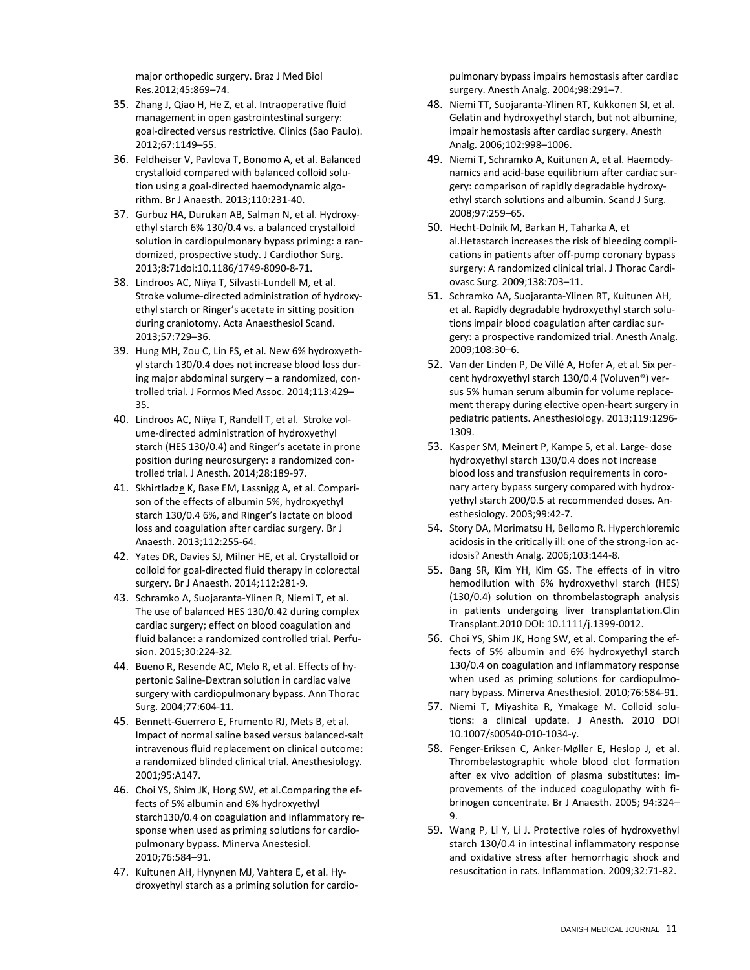major orthopedic surgery. Braz J Med Biol Res.2012;45:869–74.

- 35. Zhang J, Qiao H, He Z, et al. Intraoperative fluid management in open gastrointestinal surgery: goal-directed versus restrictive. Clinics (Sao Paulo). 2012;67:1149–55.
- 36. Feldheiser V, Pavlova T, Bonomo A, et al. Balanced crystalloid compared with balanced colloid solution using a goal-directed haemodynamic algorithm. Br J Anaesth. 2013;110:231-40.
- 37. Gurbuz HA, Durukan AB, Salman N, et al. Hydroxyethyl starch 6% 130/0.4 vs. a balanced crystalloid solution in cardiopulmonary bypass priming: a randomized, prospective study. J Cardiothor Surg. 2013;8:71doi:10.1186/1749-8090-8-71.
- 38. Lindroos AC, Niiya T, Silvasti-Lundell M, et al. Stroke volume-directed administration of hydroxyethyl starch or Ringer's acetate in sitting position during craniotomy. Acta Anaesthesiol Scand. 2013;57:729–36.
- 39. Hung MH, Zou C, Lin FS, et al. New 6% hydroxyethyl starch 130/0.4 does not increase blood loss during major abdominal surgery – a randomized, controlled trial. J Formos Med Assoc. 2014;113:429– 35.
- 40. [Lindroos AC,](http://www.ncbi.nlm.nih.gov/pubmed/?term=Lindroos%20AC%5BAuthor%5D&cauthor=true&cauthor_uid=24077833) [Niiya T,](http://www.ncbi.nlm.nih.gov/pubmed/?term=Niiya%20T%5BAuthor%5D&cauthor=true&cauthor_uid=24077833) [Randell T,](http://www.ncbi.nlm.nih.gov/pubmed/?term=Randell%20T%5BAuthor%5D&cauthor=true&cauthor_uid=24077833) et al. Stroke volume-directed administration of hydroxyethyl starch (HES 130/0.4) and Ringer's acetate in prone position during neurosurgery: a randomized controlled trial. J Anesth. 2014;28:189-97.
- 41. Skhirtlad[ze](http://www.ncbi.nlm.nih.gov/pubmed/24077833) K, Base EM, Lassnigg A, et al. Comparison of the effects of albumin 5%, hydroxyethyl starch 130/0.4 6%, and Ringer's lactate on blood loss and coagulation after cardiac surgery. Br J Anaesth. 2013;112:255-64.
- 42. [Yates DR,](http://www.ncbi.nlm.nih.gov/pubmed/?term=Yates%20DR%5BAuthor%5D&cauthor=true&cauthor_uid=24056586) [Davies SJ,](http://www.ncbi.nlm.nih.gov/pubmed/?term=Davies%20SJ%5BAuthor%5D&cauthor=true&cauthor_uid=24056586) [Milner HE,](http://www.ncbi.nlm.nih.gov/pubmed/?term=Milner%20HE%5BAuthor%5D&cauthor=true&cauthor_uid=24056586) et al. Crystalloid or colloid for goal-directed fluid therapy in colorectal surgery[. Br J Anaesth.](http://www.ncbi.nlm.nih.gov/pubmed/?term=yates+dra%2C+davies+sj%2C+milner+he) 2014;112:281-9.
- 43. [Schramko A,](http://www.ncbi.nlm.nih.gov/pubmed/?term=Schramko%20A%5BAuthor%5D&cauthor=true&cauthor_uid=24947459) [Suojaranta-Ylinen R,](http://www.ncbi.nlm.nih.gov/pubmed/?term=Suojaranta-Ylinen%20R%5BAuthor%5D&cauthor=true&cauthor_uid=24947459) [Niemi T,](http://www.ncbi.nlm.nih.gov/pubmed/?term=Niemi%20T%5BAuthor%5D&cauthor=true&cauthor_uid=24947459) et al. The use of balanced HES 130/0.42 during complex cardiac surgery; effect on blood coagulation and fluid balance: a randomized controlled trial[. Perfu](http://www.ncbi.nlm.nih.gov/pubmed/24947459)[sion.](http://www.ncbi.nlm.nih.gov/pubmed/24947459) 2015;30:224-32.
- 44. Bueno R, Resende AC, Melo R, et al. Effects of hypertonic Saline-Dextran solution in cardiac valve surgery with cardiopulmonary bypass. Ann Thorac Surg. 2004;77:604-11.
- 45. Bennett-Guerrero E, Frumento RJ, Mets B, et al. Impact of normal saline based versus balanced-salt intravenous fluid replacement on clinical outcome: a randomized blinded clinical trial. Anesthesiology. 2001;95:A147.
- 46. Choi YS, Shim JK, Hong SW, et al.Comparing the effects of 5% albumin and 6% hydroxyethyl starch130/0.4 on coagulation and inflammatory response when used as priming solutions for cardiopulmonary bypass. Minerva Anestesiol. 2010;76:584–91.
- 47. Kuitunen AH, Hynynen MJ, Vahtera E, et al. Hydroxyethyl starch as a priming solution for cardio-

pulmonary bypass impairs hemostasis after cardiac surgery. Anesth Analg. 2004;98:291–7.

- 48. Niemi TT, Suojaranta-Ylinen RT, Kukkonen SI, et al. Gelatin and hydroxyethyl starch, but not albumine, impair hemostasis after cardiac surgery. Anesth Analg. 2006;102:998–1006.
- 49. Niemi T, Schramko A, Kuitunen A, et al. Haemodynamics and acid-base equilibrium after cardiac surgery: comparison of rapidly degradable hydroxyethyl starch solutions and albumin. Scand J Surg. 2008;97:259–65.
- 50. Hecht-Dolnik M, Barkan H, Taharka A, et al.Hetastarch increases the risk of bleeding complications in patients after off-pump coronary bypass surgery: A randomized clinical trial. J Thorac Cardiovasc Surg. 2009;138:703–11.
- 51. Schramko AA, Suojaranta-Ylinen RT, Kuitunen AH, et al. Rapidly degradable hydroxyethyl starch solutions impair blood coagulation after cardiac surgery: a prospective randomized trial. Anesth Analg. 2009;108:30–6.
- 52. [Van der Linden P,](http://www.ncbi.nlm.nih.gov/pubmed/?term=Van%20der%20Linden%20P%5BAuthor%5D&cauthor=true&cauthor_uid=23934169) [De Villé A,](http://www.ncbi.nlm.nih.gov/pubmed/?term=De%20Vill%C3%A9%20A%5BAuthor%5D&cauthor=true&cauthor_uid=23934169) [Hofer A,](http://www.ncbi.nlm.nih.gov/pubmed/?term=Hofer%20A%5BAuthor%5D&cauthor=true&cauthor_uid=23934169) et al. Six percent hydroxyethyl starch 130/0.4 (Voluven®) versus 5% human serum albumin for volume replacement therapy during elective open-heart surgery in pediatric patients[. Anesthesiology.](http://www.ncbi.nlm.nih.gov/pubmed/23934169) 2013;119:1296- 1309.
- 53. Kasper SM, Meinert P, Kampe S, et al. Large- dose hydroxyethyl starch 130/0.4 does not increase blood loss and transfusion requirements in coronary artery bypass surgery compared with hydroxyethyl starch 200/0.5 at recommended doses. Anesthesiology. 2003;99:42-7.
- 54. Story DA, Morimatsu H, Bellomo R. Hyperchloremic acidosis in the critically ill: one of the strong-ion acidosis? Anesth Analg. 2006;103:144-8.
- 55. Bang SR, Kim YH, Kim GS. The effects of in vitro hemodilution with 6% hydroxyethyl starch (HES) (130/0.4) solution on thrombelastograph analysis in patients undergoing liver transplantation.Clin Transplant.2010 DOI: 10.1111/j.1399-0012.
- 56. Choi YS, Shim JK, Hong SW, et al. Comparing the effects of 5% albumin and 6% hydroxyethyl starch 130/0.4 on coagulation and inflammatory response when used as priming solutions for cardiopulmonary bypass. Minerva Anesthesiol. 2010;76:584-91.
- 57. Niemi T, Miyashita R, Ymakage M. Colloid solutions: a clinical update. J Anesth. 2010 DOI 10.1007/s00540-010-1034-y.
- 58. Fenger-Eriksen C, Anker-Møller E, Heslop J, et al. Thrombelastographic whole blood clot formation after ex vivo addition of plasma substitutes: improvements of the induced coagulopathy with fibrinogen concentrate. Br J Anaesth. 2005; 94:324– 9.
- 59. Wang P, Li Y, Li J. Protective roles of hydroxyethyl starch 130/0.4 in intestinal inflammatory response and oxidative stress after hemorrhagic shock and resuscitation in rats. Inflammation. 2009;32:71-82.